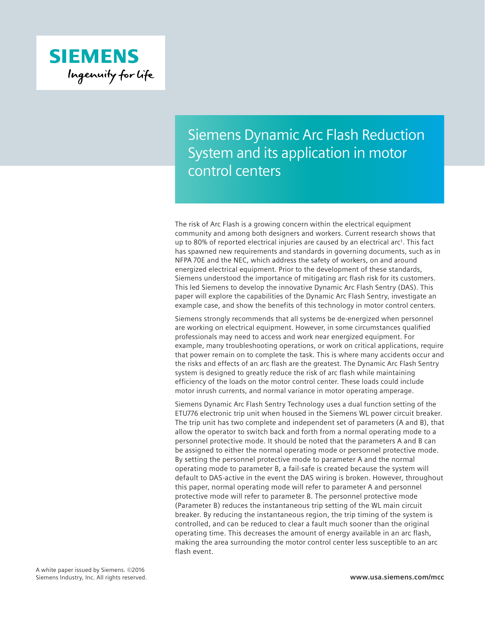

## Siemens Dynamic Arc Flash Reduction System and its application in motor control centers

The risk of Arc Flash is a growing concern within the electrical equipment community and among both designers and workers. Current research shows that up to 80% of reported electrical injuries are caused by an electrical arc1. This fact has spawned new requirements and standards in governing documents, such as in NFPA 70E and the NEC, which address the safety of workers, on and around energized electrical equipment. Prior to the development of these standards, Siemens understood the importance of mitigating arc flash risk for its customers. This led Siemens to develop the innovative Dynamic Arc Flash Sentry (DAS). This paper will explore the capabilities of the Dynamic Arc Flash Sentry, investigate an example case, and show the benefits of this technology in motor control centers.

Siemens strongly recommends that all systems be de-energized when personnel are working on electrical equipment. However, in some circumstances qualified professionals may need to access and work near energized equipment. For example, many troubleshooting operations, or work on critical applications, require that power remain on to complete the task. This is where many accidents occur and the risks and effects of an arc flash are the greatest. The Dynamic Arc Flash Sentry system is designed to greatly reduce the risk of arc flash while maintaining efficiency of the loads on the motor control center. These loads could include motor inrush currents, and normal variance in motor operating amperage.

Siemens Dynamic Arc Flash Sentry Technology uses a dual function setting of the ETU776 electronic trip unit when housed in the Siemens WL power circuit breaker. The trip unit has two complete and independent set of parameters (A and B), that allow the operator to switch back and forth from a normal operating mode to a personnel protective mode. It should be noted that the parameters A and B can be assigned to either the normal operating mode or personnel protective mode. By setting the personnel protective mode to parameter A and the normal operating mode to parameter B, a fail-safe is created because the system will default to DAS-active in the event the DAS wiring is broken. However, throughout this paper, normal operating mode will refer to parameter A and personnel protective mode will refer to parameter B. The personnel protective mode (Parameter B) reduces the instantaneous trip setting of the WL main circuit breaker. By reducing the instantaneous region, the trip timing of the system is controlled, and can be reduced to clear a fault much sooner than the original operating time. This decreases the amount of energy available in an arc flash, making the area surrounding the motor control center less susceptible to an arc flash event.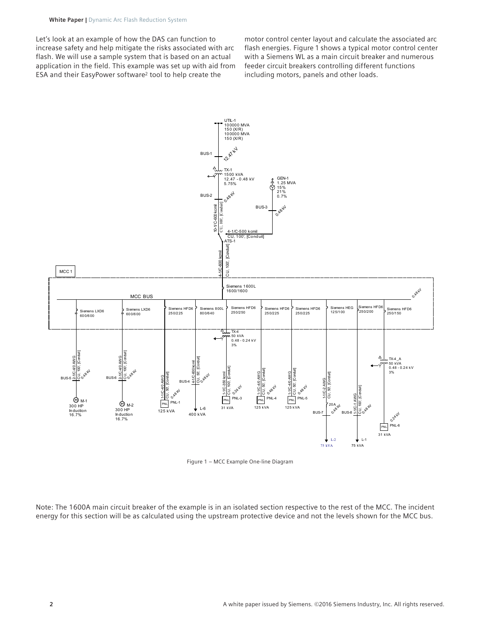Let's look at an example of how the DAS can function to increase safety and help mitigate the risks associated with arc flash. We will use a sample system that is based on an actual application in the field. This example was set up with aid from ESA and their EasyPower software2 tool to help create the

motor control center layout and calculate the associated arc flash energies. Figure 1 shows a typical motor control center with a Siemens WL as a main circuit breaker and numerous feeder circuit breakers controlling different functions including motors, panels and other loads.



Figure 1 – MCC Example One-line Diagram

Note: The 1600A main circuit breaker of the example is in an isolated section respective to the rest of the MCC. The incident energy for this section will be as calculated using the upstream protective device and not the levels shown for the MCC bus.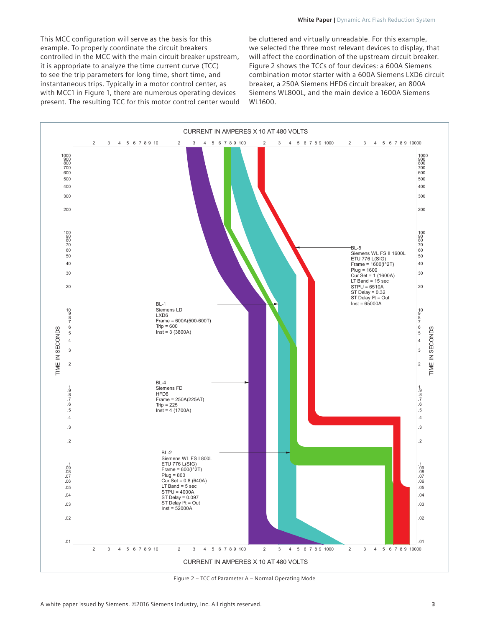This MCC configuration will serve as the basis for this example. To properly coordinate the circuit breakers controlled in the MCC with the main circuit breaker upstream, it is appropriate to analyze the time current curve (TCC) to see the trip parameters for long time, short time, and instantaneous trips. Typically in a motor control center, as with MCC1 in Figure 1, there are numerous operating devices present. The resulting TCC for this motor control center would

be cluttered and virtually unreadable. For this example, we selected the three most relevant devices to display, that will affect the coordination of the upstream circuit breaker. Figure 2 shows the TCCs of four devices: a 600A Siemens combination motor starter with a 600A Siemens LXD6 circuit breaker, a 250A Siemens HFD6 circuit breaker, an 800A Siemens WL800L, and the main device a 1600A Siemens WL1600.



Figure 2 – TCC of Parameter A – Normal Operating Mode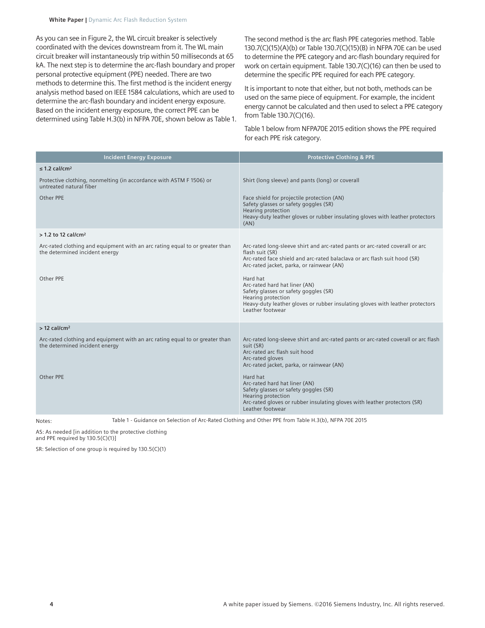As you can see in Figure 2, the WL circuit breaker is selectively coordinated with the devices downstream from it. The WL main circuit breaker will instantaneously trip within 50 milliseconds at 65 kA. The next step is to determine the arc-flash boundary and proper personal protective equipment (PPE) needed. There are two methods to determine this. The first method is the incident energy analysis method based on IEEE 1584 calculations, which are used to determine the arc-flash boundary and incident energy exposure. Based on the incident energy exposure, the correct PPE can be determined using Table H.3(b) in NFPA 70E, shown below as Table 1. The second method is the arc flash PPE categories method. Table 130.7(C)(15)(A)(b) or Table 130.7(C)(15)(B) in NFPA 70E can be used to determine the PPE category and arc-flash boundary required for work on certain equipment. Table 130.7(C)(16) can then be used to determine the specific PPE required for each PPE category.

It is important to note that either, but not both, methods can be used on the same piece of equipment. For example, the incident energy cannot be calculated and then used to select a PPE category from Table 130.7(C)(16).

Table 1 below from NFPA70E 2015 edition shows the PPE required for each PPE risk category.

| <b>Incident Energy Exposure</b>                                                                                | <b>Protective Clothing &amp; PPE</b>                                                                                                                                                                                      |
|----------------------------------------------------------------------------------------------------------------|---------------------------------------------------------------------------------------------------------------------------------------------------------------------------------------------------------------------------|
| $\leq$ 1.2 cal/cm <sup>2</sup>                                                                                 |                                                                                                                                                                                                                           |
| Protective clothing, nonmelting (in accordance with ASTM F 1506) or<br>untreated natural fiber                 | Shirt (long sleeve) and pants (long) or coverall                                                                                                                                                                          |
| Other PPF                                                                                                      | Face shield for projectile protection (AN)<br>Safety glasses or safety goggles (SR)<br>Hearing protection<br>Heavy-duty leather gloves or rubber insulating gloves with leather protectors<br>(AN)                        |
| $>$ 1.2 to 12 cal/cm <sup>2</sup>                                                                              |                                                                                                                                                                                                                           |
| Arc-rated clothing and equipment with an arc rating equal to or greater than<br>the determined incident energy | Arc-rated long-sleeve shirt and arc-rated pants or arc-rated coverall or arc<br>flash suit (SR)<br>Arc-rated face shield and arc-rated balaclava or arc flash suit hood (SR)<br>Arc-rated jacket, parka, or rainwear (AN) |
| Other PPE                                                                                                      | Hard hat<br>Arc-rated hard hat liner (AN)<br>Safety glasses or safety goggles (SR)<br>Hearing protection<br>Heavy-duty leather gloves or rubber insulating gloves with leather protectors<br>Leather footwear             |
| $>$ 12 cal/cm <sup>2</sup>                                                                                     |                                                                                                                                                                                                                           |
| Arc-rated clothing and equipment with an arc rating equal to or greater than<br>the determined incident energy | Arc-rated long-sleeve shirt and arc-rated pants or arc-rated coverall or arc flash<br>suit (SR)<br>Arc-rated arc flash suit hood<br>Arc-rated gloves<br>Arc-rated jacket, parka, or rainwear (AN)                         |
| Other PPE                                                                                                      | Hard hat<br>Arc-rated hard hat liner (AN)<br>Safety glasses or safety goggles (SR)<br>Hearing protection<br>Arc-rated gloves or rubber insulating gloves with leather protectors (SR)<br>Leather footwear                 |

Notes: Table 1 - Guidance on Selection of Arc-Rated Clothing and Other PPE from Table H.3(b), NFPA 70E 2015

AS: As needed [in addition to the protective clothing and PPE required by 130.5(C)(1)]

SR: Selection of one group is required by 130.5(C)(1)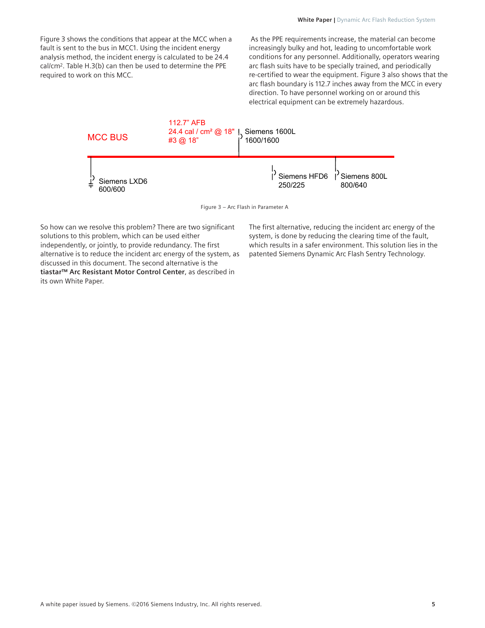As the PPE requirements increase, the material can become increasingly bulky and hot, leading to uncomfortable work conditions for any personnel. Additionally, operators wearing arc flash suits have to be specially trained, and periodically re-certified to wear the equipment. Figure 3 also shows that the arc flash boundary is 112.7 inches away from the MCC in every direction. To have personnel working on or around this electrical equipment can be extremely hazardous.



Figure 3 – Arc Flash in Parameter A

So how can we resolve this problem? There are two significant solutions to this problem, which can be used either independently, or jointly, to provide redundancy. The first alternative is to reduce the incident arc energy of the system, as discussed in this document. The second alternative is the **[tiastar™ Arc Resistant Motor Control Center](https://www.industry.usa.siemens.com/automation/us/en/industrial-controls/products/motor-control-centers/Documents/Art%20Reistant%20V2.pdf)**, as described in its own White Paper.

The first alternative, reducing the incident arc energy of the system, is done by reducing the clearing time of the fault, which results in a safer environment. This solution lies in the patented Siemens Dynamic Arc Flash Sentry Technology.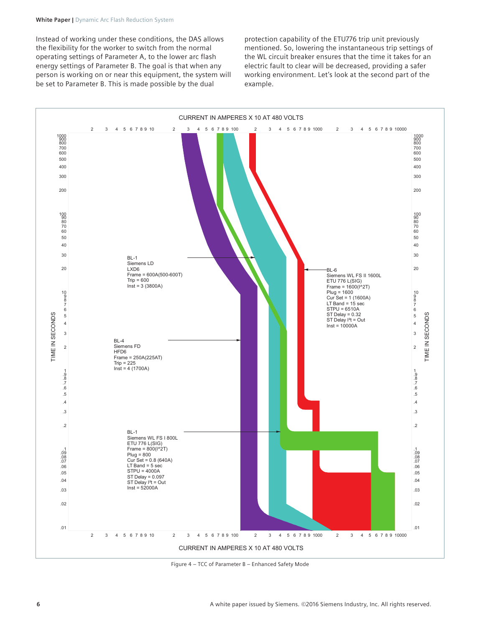## **White Paper |** Dynamic Arc Flash Reduction System

Instead of working under these conditions, the DAS allows the flexibility for the worker to switch from the normal operating settings of Parameter A, to the lower arc flash energy settings of Parameter B. The goal is that when any person is working on or near this equipment, the system will be set to Parameter B. This is made possible by the dual

protection capability of the ETU776 trip unit previously mentioned. So, lowering the instantaneous trip settings of the WL circuit breaker ensures that the time it takes for an electric fault to clear will be decreased, providing a safer working environment. Let's look at the second part of the example.



Figure 4 – TCC of Parameter B – Enhanced Safety Mode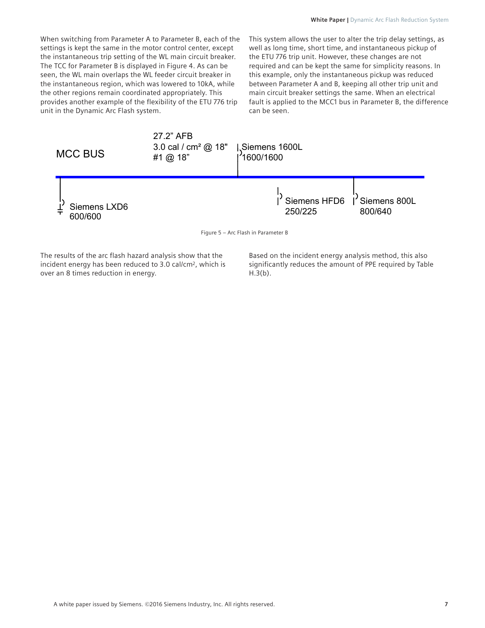When switching from Parameter A to Parameter B, each of the settings is kept the same in the motor control center, except the instantaneous trip setting of the WL main circuit breaker. The TCC for Parameter B is displayed in Figure 4. As can be seen, the WL main overlaps the WL feeder circuit breaker in the instantaneous region, which was lowered to 10kA, while the other regions remain coordinated appropriately. This provides another example of the flexibility of the ETU 776 trip unit in the Dynamic Arc Flash system.

This system allows the user to alter the trip delay settings, as well as long time, short time, and instantaneous pickup of the ETU 776 trip unit. However, these changes are not required and can be kept the same for simplicity reasons. In this example, only the instantaneous pickup was reduced between Parameter A and B, keeping all other trip unit and main circuit breaker settings the same. When an electrical fault is applied to the MCC1 bus in Parameter B, the difference can be seen.



The results of the arc flash hazard analysis show that the incident energy has been reduced to 3.0 cal/cm2, which is over an 8 times reduction in energy.

Based on the incident energy analysis method, this also significantly reduces the amount of PPE required by Table  $H.3(b)$ .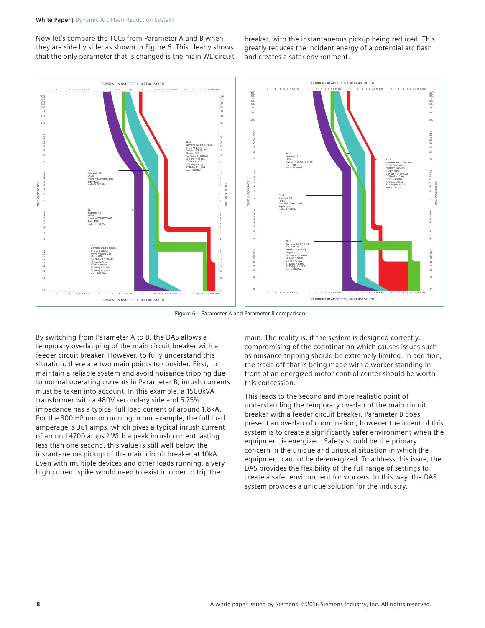Now let's compare the TCCs from Parameter A and B when they are side by side, as shown in Figure 6. This clearly shows that the only parameter that is changed is the main WL circuit breaker, with the instantaneous pickup being reduced. This greatly reduces the incident energy of a potential arc flash and creates a safer environment.



Figure 6 – Parameter A and Parameter B comparison

By switching from Parameter A to B, the DAS allows a temporary overlapping of the main circuit breaker with a feeder circuit breaker. However, to fully understand this situation, there are two main points to consider. First, to maintain a reliable system and avoid nuisance tripping due to normal operating currents in Parameter B, inrush currents must be taken into account. In this example, a 1500kVA transformer with a 480V secondary side and 5.75% impedance has a typical full load current of around 1.8kA. For the 300 HP motor running in our example, the full load amperage is 361 amps, which gives a typical inrush current of around 4700 amps.<sup>3</sup> With a peak inrush current lasting less than one second, this value is still well below the instantaneous pickup of the main circuit breaker at 10kA. Even with multiple devices and other loads running, a very high current spike would need to exist in order to trip the

main. The reality is: if the system is designed correctly, compromising of the coordination which causes issues such as nuisance tripping should be extremely limited. In addition, the trade off that is being made with a worker standing in front of an energized motor control center should be worth this concession.

This leads to the second and more realistic point of understanding the temporary overlap of the main circuit breaker with a feeder circuit breaker. Parameter B does present an overlap of coordination; however the intent of this system is to create a significantly safer environment when the equipment is energized. Safety should be the primary concern in the unique and unusual situation in which the equipment cannot be de-energized. To address this issue, the DAS provides the flexibility of the full range of settings to create a safer environment for workers. In this way, the DAS system provides a unique solution for the industry.